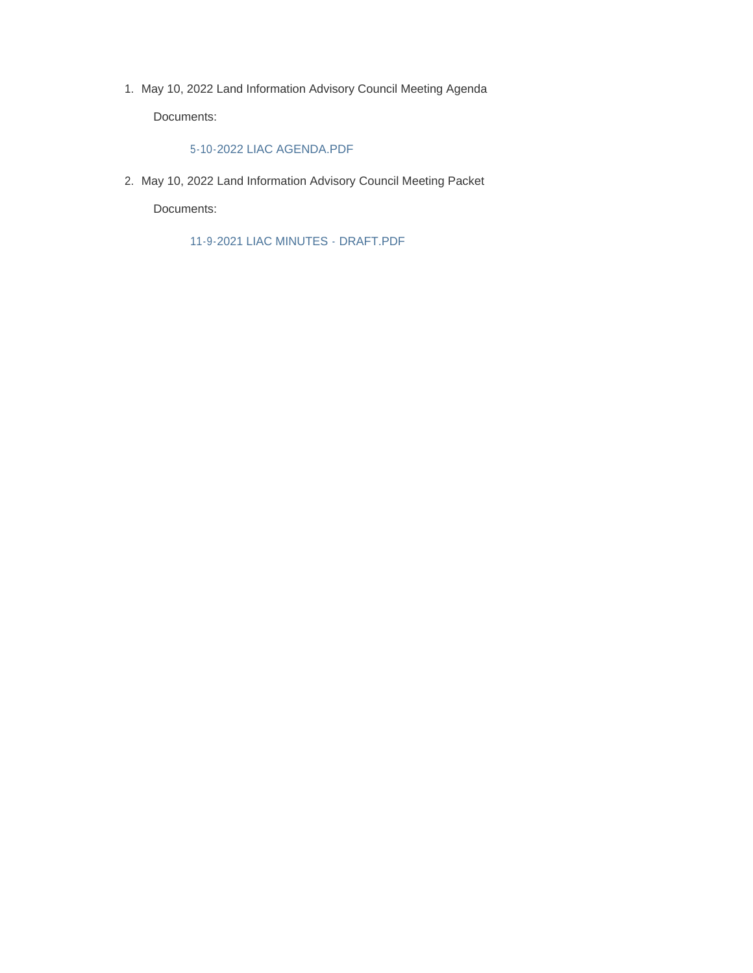1. May 10, 2022 Land Information Advisory Council Meeting Agenda

Documents:

# 5-10-2022 LIAC AGENDA.PDF

May 10, 2022 Land Information Advisory Council Meeting Packet 2.

Documents:

11-9-2021 LIAC MINUTES - DRAFT.PDF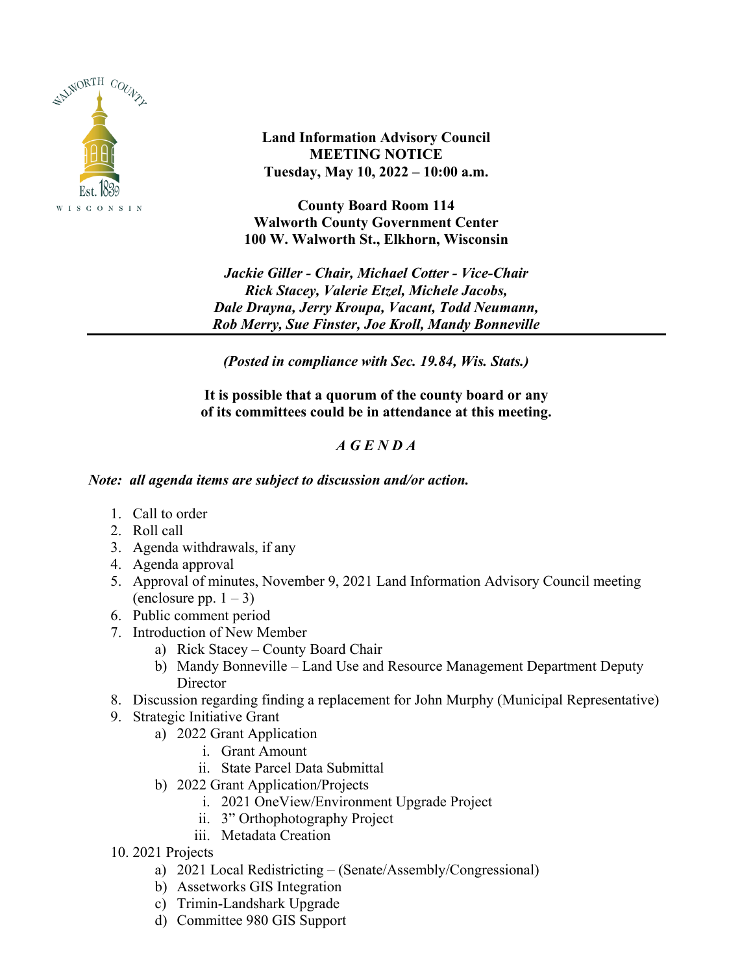

**Land Information Advisory Council MEETING NOTICE Tuesday, May 10, 2022 – 10:00 a.m.**

**County Board Room 114 Walworth County Government Center 100 W. Walworth St., Elkhorn, Wisconsin**

*Jackie Giller - Chair, Michael Cotter - Vice-Chair Rick Stacey, Valerie Etzel, Michele Jacobs, Dale Drayna, Jerry Kroupa, Vacant, Todd Neumann, Rob Merry, Sue Finster, Joe Kroll, Mandy Bonneville*

*(Posted in compliance with Sec. 19.84, Wis. Stats.)*

**It is possible that a quorum of the county board or any of its committees could be in attendance at this meeting.**

# *A G E N D A*

# *Note: all agenda items are subject to discussion and/or action.*

- 1. Call to order
- 2. Roll call
- 3. Agenda withdrawals, if any
- 4. Agenda approval
- 5. Approval of minutes, November 9, 2021 Land Information Advisory Council meeting (enclosure pp.  $1 - 3$ )
- 6. Public comment period
- 7. Introduction of New Member
	- a) Rick Stacey County Board Chair
	- b) Mandy Bonneville Land Use and Resource Management Department Deputy **Director**
- 8. Discussion regarding finding a replacement for John Murphy (Municipal Representative)
- 9. Strategic Initiative Grant
	- a) 2022 Grant Application
		- i. Grant Amount
		- ii. State Parcel Data Submittal
	- b) 2022 Grant Application/Projects
		- i. 2021 OneView/Environment Upgrade Project
		- ii. 3" Orthophotography Project
		- iii. Metadata Creation
- 10. 2021 Projects
	- a) 2021 Local Redistricting (Senate/Assembly/Congressional)
	- b) Assetworks GIS Integration
	- c) Trimin-Landshark Upgrade
	- d) Committee 980 GIS Support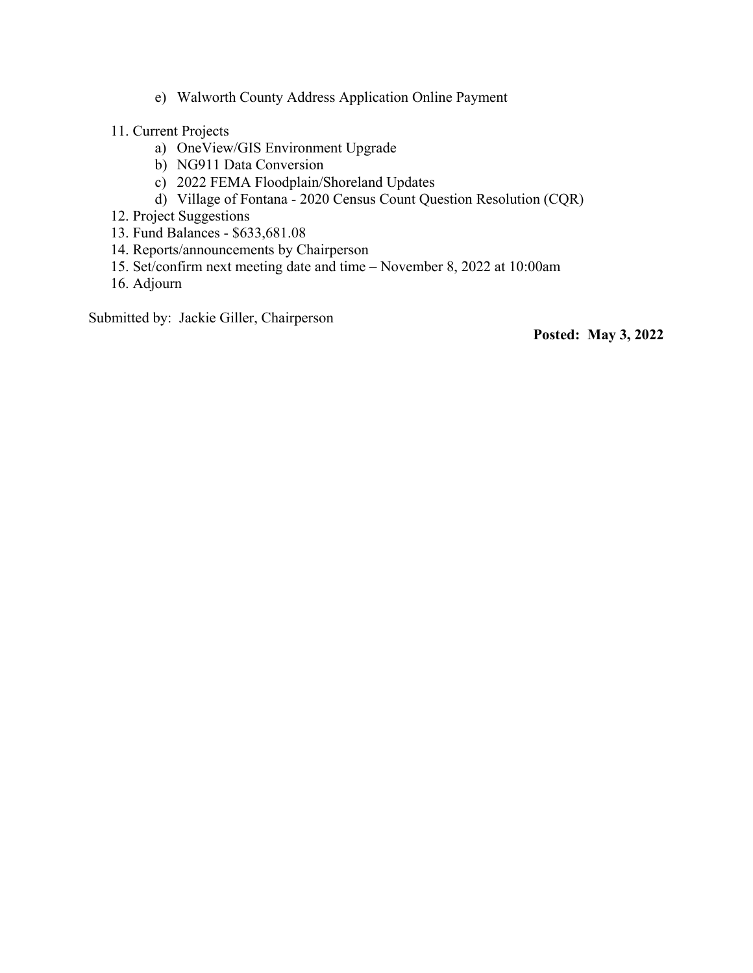- e) Walworth County Address Application Online Payment
- 11. Current Projects
	- a) OneView/GIS Environment Upgrade
	- b) NG911 Data Conversion
	- c) 2022 FEMA Floodplain/Shoreland Updates
	- d) Village of Fontana 2020 Census Count Question Resolution (CQR)
- 12. Project Suggestions
- 13. Fund Balances \$633,681.08
- 14. Reports/announcements by Chairperson
- 15. Set/confirm next meeting date and time November 8, 2022 at 10:00am
- 16. Adjourn

Submitted by: Jackie Giller, Chairperson

**Posted: May 3, 2022**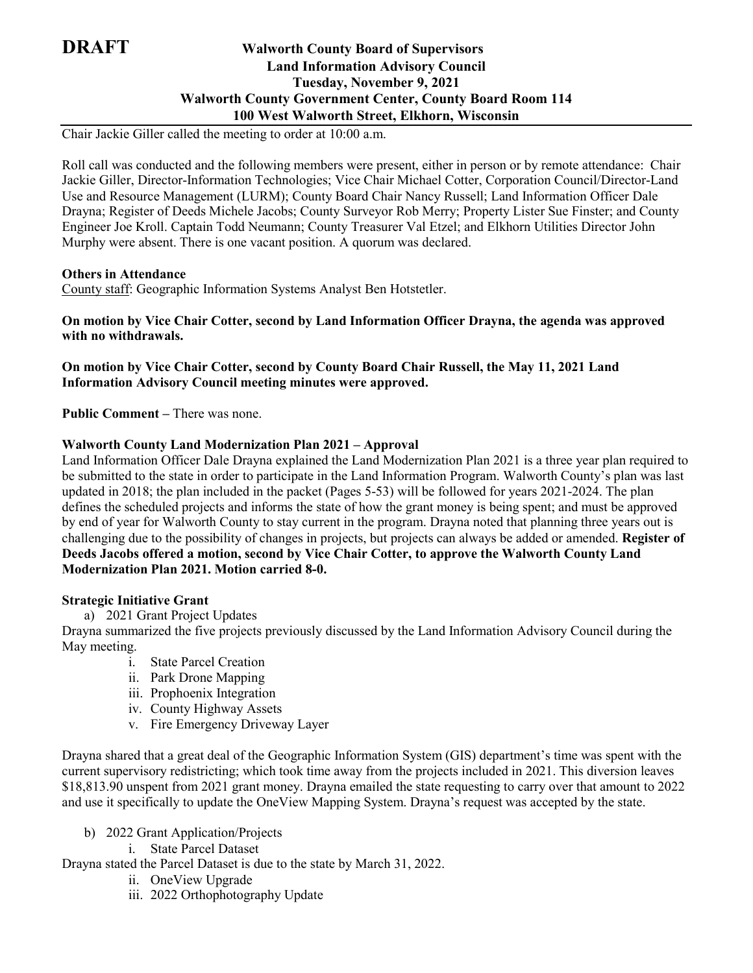# **DRAFT Walworth County Board of Supervisors Land Information Advisory Council Tuesday, November 9, 2021 Walworth County Government Center, County Board Room 114 100 West Walworth Street, Elkhorn, Wisconsin**

Chair Jackie Giller called the meeting to order at 10:00 a.m.

Roll call was conducted and the following members were present, either in person or by remote attendance: Chair Jackie Giller, Director-Information Technologies; Vice Chair Michael Cotter, Corporation Council/Director-Land Use and Resource Management (LURM); County Board Chair Nancy Russell; Land Information Officer Dale Drayna; Register of Deeds Michele Jacobs; County Surveyor Rob Merry; Property Lister Sue Finster; and County Engineer Joe Kroll. Captain Todd Neumann; County Treasurer Val Etzel; and Elkhorn Utilities Director John Murphy were absent. There is one vacant position. A quorum was declared.

# **Others in Attendance**

County staff: Geographic Information Systems Analyst Ben Hotstetler.

**On motion by Vice Chair Cotter, second by Land Information Officer Drayna, the agenda was approved with no withdrawals.**

**On motion by Vice Chair Cotter, second by County Board Chair Russell, the May 11, 2021 Land Information Advisory Council meeting minutes were approved.**

**Public Comment –** There was none.

# **Walworth County Land Modernization Plan 2021 – Approval**

Land Information Officer Dale Drayna explained the Land Modernization Plan 2021 is a three year plan required to be submitted to the state in order to participate in the Land Information Program. Walworth County's plan was last updated in 2018; the plan included in the packet (Pages 5-53) will be followed for years 2021-2024. The plan defines the scheduled projects and informs the state of how the grant money is being spent; and must be approved by end of year for Walworth County to stay current in the program. Drayna noted that planning three years out is challenging due to the possibility of changes in projects, but projects can always be added or amended. **Register of Deeds Jacobs offered a motion, second by Vice Chair Cotter, to approve the Walworth County Land Modernization Plan 2021. Motion carried 8-0.**

### **Strategic Initiative Grant**

a) 2021 Grant Project Updates

Drayna summarized the five projects previously discussed by the Land Information Advisory Council during the May meeting.

- i. State Parcel Creation
- ii. Park Drone Mapping
- iii. Prophoenix Integration
- iv. County Highway Assets
- v. Fire Emergency Driveway Layer

Drayna shared that a great deal of the Geographic Information System (GIS) department's time was spent with the current supervisory redistricting; which took time away from the projects included in 2021. This diversion leaves \$18,813.90 unspent from 2021 grant money. Drayna emailed the state requesting to carry over that amount to 2022 and use it specifically to update the OneView Mapping System. Drayna's request was accepted by the state.

- b) 2022 Grant Application/Projects
	- i. State Parcel Dataset

Drayna stated the Parcel Dataset is due to the state by March 31, 2022.

- ii. OneView Upgrade
- iii. 2022 Orthophotography Update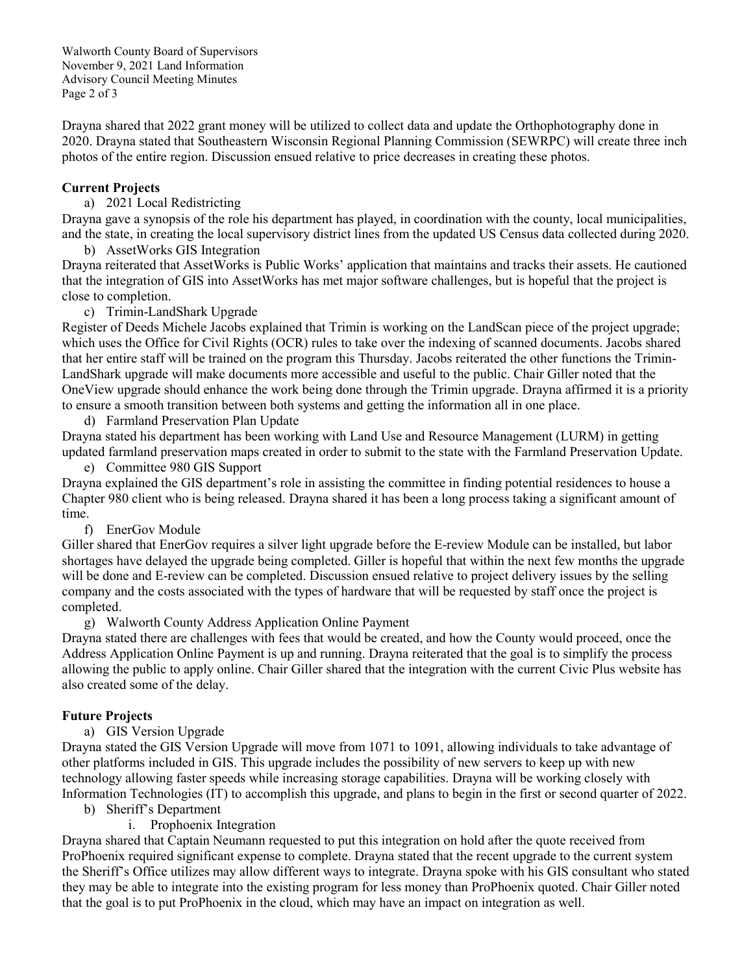Walworth County Board of Supervisors November 9, 2021 Land Information Advisory Council Meeting Minutes Page 2 of 3

Drayna shared that 2022 grant money will be utilized to collect data and update the Orthophotography done in 2020. Drayna stated that Southeastern Wisconsin Regional Planning Commission (SEWRPC) will create three inch photos of the entire region. Discussion ensued relative to price decreases in creating these photos.

# **Current Projects**

a) 2021 Local Redistricting

Drayna gave a synopsis of the role his department has played, in coordination with the county, local municipalities, and the state, in creating the local supervisory district lines from the updated US Census data collected during 2020.

b) AssetWorks GIS Integration

Drayna reiterated that AssetWorks is Public Works' application that maintains and tracks their assets. He cautioned that the integration of GIS into AssetWorks has met major software challenges, but is hopeful that the project is close to completion.

c) Trimin-LandShark Upgrade

Register of Deeds Michele Jacobs explained that Trimin is working on the LandScan piece of the project upgrade; which uses the Office for Civil Rights (OCR) rules to take over the indexing of scanned documents. Jacobs shared that her entire staff will be trained on the program this Thursday. Jacobs reiterated the other functions the Trimin-LandShark upgrade will make documents more accessible and useful to the public. Chair Giller noted that the OneView upgrade should enhance the work being done through the Trimin upgrade. Drayna affirmed it is a priority to ensure a smooth transition between both systems and getting the information all in one place.

d) Farmland Preservation Plan Update

Drayna stated his department has been working with Land Use and Resource Management (LURM) in getting updated farmland preservation maps created in order to submit to the state with the Farmland Preservation Update.

e) Committee 980 GIS Support

Drayna explained the GIS department's role in assisting the committee in finding potential residences to house a Chapter 980 client who is being released. Drayna shared it has been a long process taking a significant amount of time.

f) EnerGov Module

Giller shared that EnerGov requires a silver light upgrade before the E-review Module can be installed, but labor shortages have delayed the upgrade being completed. Giller is hopeful that within the next few months the upgrade will be done and E-review can be completed. Discussion ensued relative to project delivery issues by the selling company and the costs associated with the types of hardware that will be requested by staff once the project is completed.

g) Walworth County Address Application Online Payment

Drayna stated there are challenges with fees that would be created, and how the County would proceed, once the Address Application Online Payment is up and running. Drayna reiterated that the goal is to simplify the process allowing the public to apply online. Chair Giller shared that the integration with the current Civic Plus website has also created some of the delay.

# **Future Projects**

a) GIS Version Upgrade

Drayna stated the GIS Version Upgrade will move from 1071 to 1091, allowing individuals to take advantage of other platforms included in GIS. This upgrade includes the possibility of new servers to keep up with new technology allowing faster speeds while increasing storage capabilities. Drayna will be working closely with Information Technologies (IT) to accomplish this upgrade, and plans to begin in the first or second quarter of 2022.

- b) Sheriff's Department
	- i. Prophoenix Integration

Drayna shared that Captain Neumann requested to put this integration on hold after the quote received from ProPhoenix required significant expense to complete. Drayna stated that the recent upgrade to the current system the Sheriff's Office utilizes may allow different ways to integrate. Drayna spoke with his GIS consultant who stated they may be able to integrate into the existing program for less money than ProPhoenix quoted. Chair Giller noted that the goal is to put ProPhoenix in the cloud, which may have an impact on integration as well.